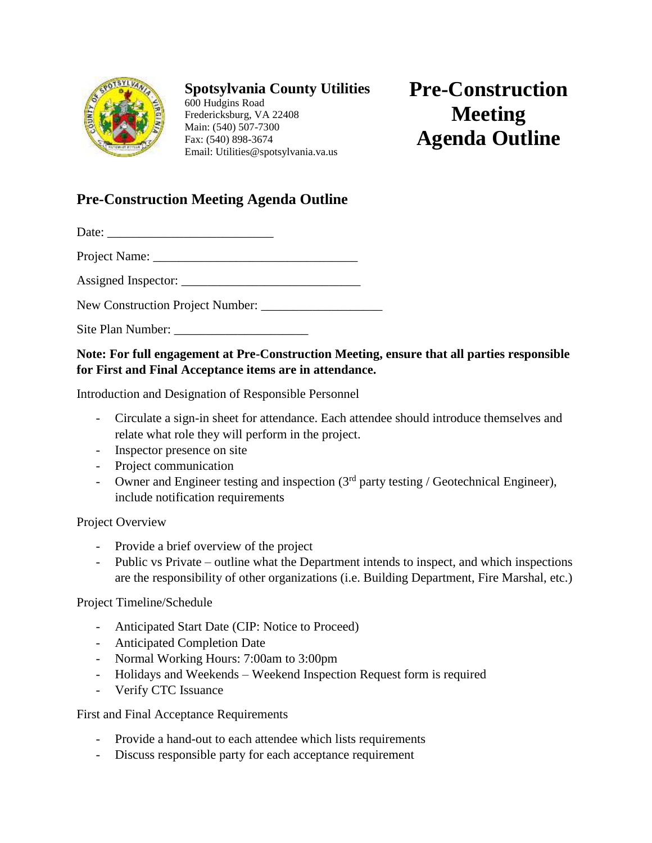

## **Spotsylvania County Utilities**

600 Hudgins Road Fredericksburg, VA 22408 Main: (540) 507-7300 Fax: (540) 898-3674 Email: Utilities@spotsylvania.va.us

## **Pre-Construction Meeting Agenda Outline**

## **Pre-Construction Meeting Agenda Outline**

Date:

Project Name: \_\_\_\_\_\_\_\_\_\_\_\_\_\_\_\_\_\_\_\_\_\_\_\_\_\_\_\_\_\_\_\_

Assigned Inspector: \_\_\_\_\_\_\_\_\_\_\_\_\_\_\_\_\_\_\_\_\_\_\_\_\_\_\_\_

New Construction Project Number:

Site Plan Number:

## **Note: For full engagement at Pre-Construction Meeting, ensure that all parties responsible for First and Final Acceptance items are in attendance.**

Introduction and Designation of Responsible Personnel

- Circulate a sign-in sheet for attendance. Each attendee should introduce themselves and relate what role they will perform in the project.
- Inspector presence on site
- Project communication
- Owner and Engineer testing and inspection  $(3<sup>rd</sup>$  party testing / Geotechnical Engineer), include notification requirements

Project Overview

- Provide a brief overview of the project
- Public vs Private outline what the Department intends to inspect, and which inspections are the responsibility of other organizations (i.e. Building Department, Fire Marshal, etc.)

Project Timeline/Schedule

- Anticipated Start Date (CIP: Notice to Proceed)
- Anticipated Completion Date
- Normal Working Hours: 7:00am to 3:00pm
- Holidays and Weekends Weekend Inspection Request form is required
- Verify CTC Issuance

First and Final Acceptance Requirements

- Provide a hand-out to each attendee which lists requirements
- Discuss responsible party for each acceptance requirement